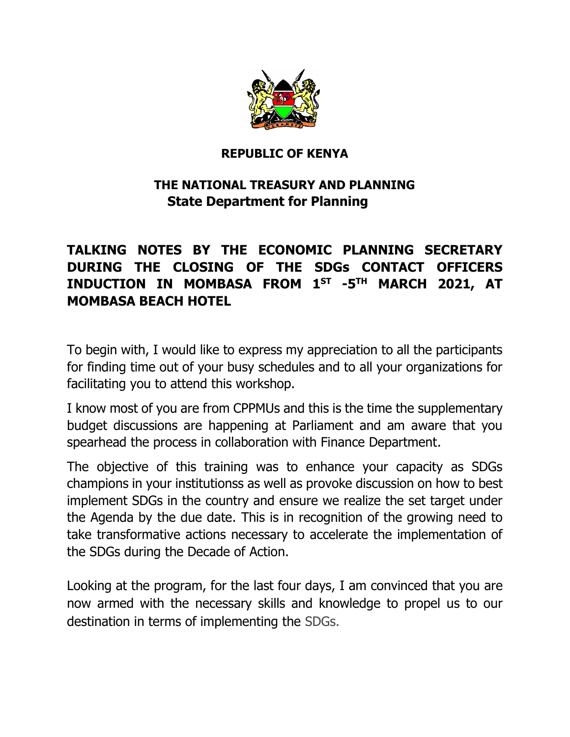

## **REPUBLIC OF KENYA**

## **THE NATIONAL TREASURY AND PLANNING State Department for Planning**

## **TALKING NOTES BY THE ECONOMIC PLANNING SECRETARY DURING THE CLOSING OF THE SDGs CONTACT OFFICERS INDUCTION IN MOMBASA FROM 1ST -5 TH MARCH 2021, AT MOMBASA BEACH HOTEL**

To begin with, I would like to express my appreciation to all the participants for finding time out of your busy schedules and to all your organizations for facilitating you to attend this workshop.

I know most of you are from CPPMUs and this is the time the supplementary budget discussions are happening at Parliament and am aware that you spearhead the process in collaboration with Finance Department.

The objective of this training was to enhance your capacity as SDGs champions in your institutionss as well as provoke discussion on how to best implement SDGs in the country and ensure we realize the set target under the Agenda by the due date. This is in recognition of the growing need to take transformative actions necessary to accelerate the implementation of the SDGs during the Decade of Action.

Looking at the program, for the last four days, I am convinced that you are now armed with the necessary skills and knowledge to propel us to our destination in terms of implementing the SDGs.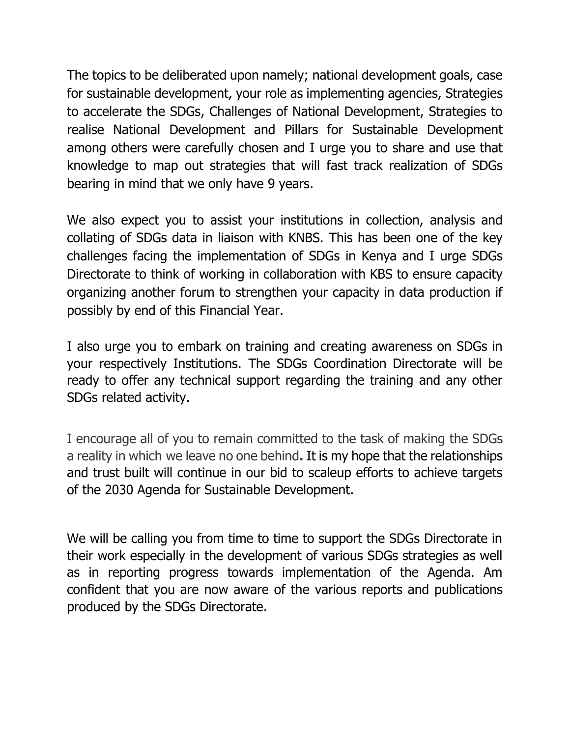The topics to be deliberated upon namely; national development goals, case for sustainable development, your role as implementing agencies, Strategies to accelerate the SDGs, Challenges of National Development, Strategies to realise National Development and Pillars for Sustainable Development among others were carefully chosen and I urge you to share and use that knowledge to map out strategies that will fast track realization of SDGs bearing in mind that we only have 9 years.

We also expect you to assist your institutions in collection, analysis and collating of SDGs data in liaison with KNBS. This has been one of the key challenges facing the implementation of SDGs in Kenya and I urge SDGs Directorate to think of working in collaboration with KBS to ensure capacity organizing another forum to strengthen your capacity in data production if possibly by end of this Financial Year.

I also urge you to embark on training and creating awareness on SDGs in your respectively Institutions. The SDGs Coordination Directorate will be ready to offer any technical support regarding the training and any other SDGs related activity.

I encourage all of you to remain committed to the task of making the SDGs a reality in which we leave no one behind**.** It is my hope that the relationships and trust built will continue in our bid to scaleup efforts to achieve targets of the 2030 Agenda for Sustainable Development.

We will be calling you from time to time to support the SDGs Directorate in their work especially in the development of various SDGs strategies as well as in reporting progress towards implementation of the Agenda. Am confident that you are now aware of the various reports and publications produced by the SDGs Directorate.